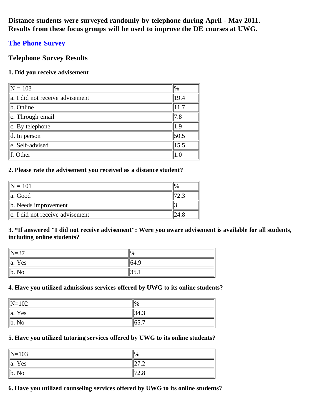**Distance students were surveyed randomly by telephone during April - May 2011. Results from these focus groups will be used to improve the DE courses at UWG.**

## **[The Phone Survey](http://www.surveymonkey.com/s/phone2011)**

## **Telephone Survey Results**

## **1. Did you receive advisement**

| $\overline{N} = 103$                 | $\frac{1}{2}$ |
|--------------------------------------|---------------|
| $\ $ a. I did not receive advisement | 19.4          |
| $\ $ b. Online                       | 11.7          |
| $\ c.$ Through email                 | 7.8           |
| $\ c.$ By telephone                  | $\vert$ 1.9   |
| $\parallel$ d. In person             | 50.5          |
| e. Self-advised                      | 15.5          |
| $\ f.$ Other                         |               |

## **2. Please rate the advisement you received as a distance student?**

| $= 101$                                |  |
|----------------------------------------|--|
| lla. Good                              |  |
| $\ $ b. Needs improvement              |  |
| $\ c\ $ . I did not receive advisement |  |

### **3. \*If answered "I did not receive advisement": Were you aware advisement is available for all students, including online students?**

| $\parallel$ N=37 | $\frac{1}{2}$ |
|------------------|---------------|
| $\ a\ $<br>Yes   | 64.9          |
| lb.<br>No        | 1JJ.I         |

### **4. Have you utilized admissions services offered by UWG to its online students?**

| $\ N=102$             | $\frac{10}{6}$ |
|-----------------------|----------------|
| $\parallel$ a.<br>Yes | 134.3          |
| $\ $ b. No            | -<br>10J.I     |

### **5. Have you utilized tutoring services offered by UWG to its online students?**

| $\ N=103$             | $\%$       |
|-----------------------|------------|
| $\parallel$ a.<br>Yes | . <u>.</u> |
| Կ⊾<br>10              | ں ۔        |

### **6. Have you utilized counseling services offered by UWG to its online students?**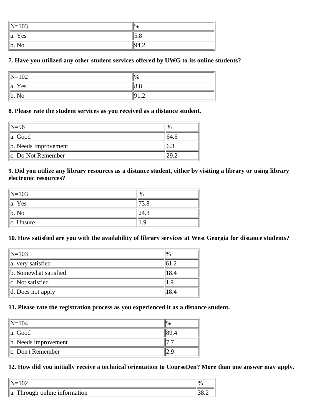| $\ N=103$      | $\frac{1}{2}$ |
|----------------|---------------|
| $\ a\ $        | $\sqrt{2}$    |
| Yes            | $\cup$ .      |
| $\ $ b.        | ™Q⊿           |
| N <sub>0</sub> | т.∠           |

### **7. Have you utilized any other student services offered by UWG to its online students?**

| $\ N=102$      | $\frac{1}{2}$ |
|----------------|---------------|
| $\ a\ $<br>Yes | 8.8           |
| ∥b.<br>No      | 19<br>        |

### **8. Please rate the student services as you received as a distance student.**

| $\parallel$ N=96          |       |
|---------------------------|-------|
| $\ $ a. Good              | 164.6 |
| $\ $ b. Needs Improvement |       |
| $\ c.$ Do Not Remember    |       |

### **9. Did you utilize any library resources as a distance student, either by visiting a library or using library electronic resources?**

| $\vert$ N=103      |  |
|--------------------|--|
| $\parallel$ a. Yes |  |
| $\ $ b. No         |  |
| $\ c.$ Unsure      |  |

### **10. How satisfied are you with the availability of library services at West Georgia for distance students?**

| $\ N=103\ $                   | $\frac{10}{6}$ |
|-------------------------------|----------------|
| a. very satisfied             |                |
| b. Somewhat satisfied         | 18.4           |
| $\ c.$ Not satisfied          | ୍ଠ             |
| $\parallel$ d. Does not apply | 18.4           |

## **11. Please rate the registration process as you experienced it as a distance student.**

| $\text{IN} = 104$         |  |
|---------------------------|--|
| lla. Good                 |  |
| $\ $ b. Needs improvement |  |
| $\ c.$ Don't Remember     |  |

# **12. How did you initially receive a technical orientation to CourseDen? More than one answer may apply.**

|                                              | $\frac{10}{6}$ |
|----------------------------------------------|----------------|
| Through online information<br>$\parallel$ a. |                |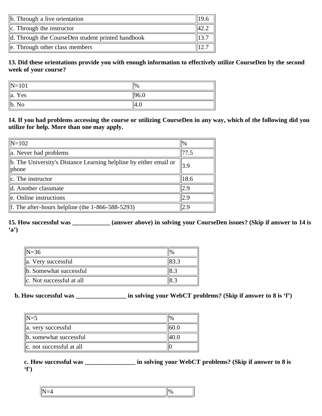| $\ $ b. Through a live orientation                |  |
|---------------------------------------------------|--|
| $\ c\ $ . Through the instructor                  |  |
| d. Through the CourseDen student printed handbook |  |
| $\parallel$ e. Through other class members        |  |

**13. Did these orientations provide you with enough information to effectively utilize CourseDen by the second week of your course?**

| $\vert N=101$ | $\frac{1}{2}$    |
|---------------|------------------|
| $\ $ a. Yes   | $\parallel$ 96.0 |
| ∥b. No        | 4.U              |

**14. If you had problems accessing the course or utilizing CourseDen in any way, which of the following did you utilize for help. More than one may apply.**

| $\parallel$ N=102                                                               | $\frac{10}{6}$ |
|---------------------------------------------------------------------------------|----------------|
| a. Never had problems                                                           | 77.5           |
| $\ $ b. The University's Distance Learning helpline by either email or<br>phone | 3.9            |
| $\ c\ $ . The instructor                                                        | 18.6           |
| d. Another classmate                                                            | 2.9            |
| e. Online instructions                                                          | 2.9            |
| f. The after-hours helpline (the $1-866-588-5293$ )                             | 2.9            |

**15. How successful was \_\_\_\_\_\_\_\_\_\_\_\_ (answer above) in solving your CourseDen issues? (Skip if answer to 14 is 'a')**

| $\parallel$ N=36                | $\frac{10}{6}$ |
|---------------------------------|----------------|
| $\ $ a. Very successful         |                |
| $\ $ b. Somewhat successful     | ن ۱٥           |
| $\ c\ $ . Not successful at all | 8.3            |

## **b. How successful was \_\_\_\_\_\_\_\_\_\_\_\_\_\_\_\_ in solving your WebCT problems? (Skip if answer to 8 is 'f')**

| $\mathbb{N}$ =5            |  |
|----------------------------|--|
| a. very successful         |  |
| b. somewhat successful     |  |
| lle. not successful at all |  |

**c. How successful was \_\_\_\_\_\_\_\_\_\_\_\_\_\_\_\_ in solving your WebCT problems? (Skip if answer to 8 is 'f')**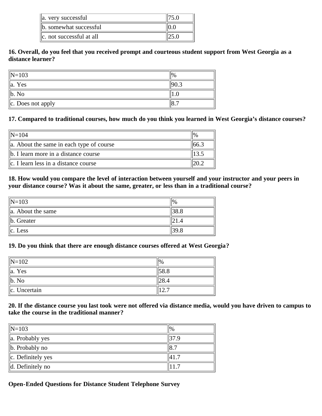| a. very successful            |  |
|-------------------------------|--|
| b. somewhat successful        |  |
| $\ c\ $ not successful at all |  |

### **16. Overall, do you feel that you received prompt and courteous student support from West Georgia as a distance learner?**

| $\ N=103\ $           | $\%$ |
|-----------------------|------|
| $\parallel$ a. Yes    |      |
| $\ $ b. No            |      |
| $\ c.$ Does not apply |      |

### **17. Compared to traditional courses, how much do you think you learned in West Georgia's distance courses?**

| $\ N=104$                                            |  |
|------------------------------------------------------|--|
| $\parallel$ a. About the same in each type of course |  |
| b. I learn more in a distance course                 |  |
| $\ c\ $ . I learn less in a distance course          |  |

### **18. How would you compare the level of interaction between yourself and your instructor and your peers in your distance course? Was it about the same, greater, or less than in a traditional course?**

| $\ N=103\ $            |  |
|------------------------|--|
| $\ $ a. About the same |  |
| $\ $ b. Greater        |  |
| $\ c.$ Less            |  |

### **19. Do you think that there are enough distance courses offered at West Georgia?**

| $\ N=102\ $        | $\frac{10}{6}$ |
|--------------------|----------------|
| $\parallel$ a. Yes | 58.8           |
| $\ $ b. No         | 28.4           |
| $\ c.$ Uncertain   | ∠.             |

### **20. If the distance course you last took were not offered via distance media, would you have driven to campus to take the course in the traditional manner?**

| $\ N=103\ $                  | $\frac{10}{6}$    |
|------------------------------|-------------------|
| $\parallel$ a. Probably yes  | $\frac{137.9}{ }$ |
| $\ $ b. Probably no          | $\parallel$ 8.7   |
| $\ c.$ Definitely yes        | 141.              |
| $\parallel$ d. Definitely no |                   |

# **Open-Ended Questions for Distance Student Telephone Survey**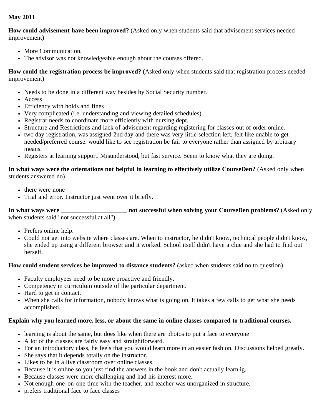## **May 2011**

**How could advisement have been improved?** (Asked only when students said that advisement services needed improvement)

- More Communication.
- The advisor was not knowledgeable enough about the courses offered.

**How could the registration process be improved?** (Asked only when students said that registration process needed improvement)

- Needs to be done in a different way besides by Social Security number.
- Access
- Efficiency with holds and fines
- Very complicated (i.e. understanding and viewing detailed schedules)
- Registrar needs to coordinate more efficiently with nursing dept.
- Structure and Restrictions and lack of advisement regarding registering for classes out of order online.
- two day registration, was assigned 2nd day and there was very little selection left, felt like unable to get needed/preferred course. would like to see registration be fair to everyone rather than assigned by arbitrary means.
- Registers at learning support. Misunderstood, but fast service. Seem to know what they are doing.

### **In what ways were the orientations not helpful in learning to effectively utilize CourseDen?** (Asked only when students answered no)

- there were none
- Trial and error. Instructor just went over it briefly.

**In what ways were \_\_\_\_\_\_\_\_\_\_\_\_\_\_\_\_\_\_\_\_\_ not successful when solving your CourseDen problems?** (Asked only when students said "not successful at all")

- Prefers online help.
- Could not get into website where classes are. When to instructor, he didn't know, technical people didn't know, she ended up using a different browser and it worked. School itself didn't have a clue and she had to find out herself.

### **How could student services be improved to distance students?** (asked when students said no to question)

- Faculty employees need to be more proactive and friendly.
- Competency in curriculum outside of the particular department.
- Hard to get in contact.
- When she calls for information, nobody knows what is going on. It takes a few calls to get what she needs accomplished.

### **Explain why you learned more, less, or about the same in online classes compared to traditional courses.**

- learning is about the same, but does like when there are photos to put a face to everyone
- A lot of the classes are fairly easy and straightforward.
- For an introductory class, he feels that you would learn more in an easier fashion. Discussions helped greatly.
- She says that it depends totally on the instructor.
- Likes to be in a live classroom over online classes.
- Because it is online so you just find the answers in the book and don't actually learn ig.
- Because classes were more challenging and had his interest more.
- Not enough one-on-one time with the teacher, and teacher was unorganized in structure.
- prefers traditional face to face classes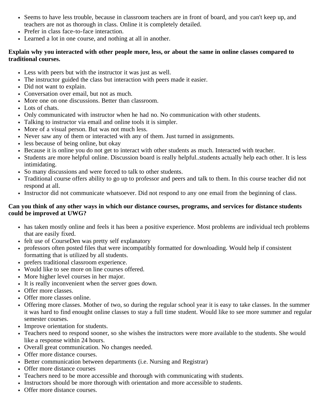- Seems to have less trouble, because in classroom teachers are in front of board, and you can't keep up, and teachers are not as thorough in class. Online it is completely detailed.
- Prefer in class face-to-face interaction.
- Learned a lot in one course, and nothing at all in another.

### **Explain why you interacted with other people more, less, or about the same in online classes compared to traditional courses.**

- Less with peers but with the instructor it was just as well.
- The instructor guided the class but interaction with peers made it easier.
- Did not want to explain.
- Conversation over email, but not as much.
- More one on one discussions. Better than classroom.
- Lots of chats.
- Only communicated with instructor when he had no. No communication with other students.
- Talking to instructor via email and online tools it is simpler.
- More of a visual person. But was not much less.
- Never saw any of them or interacted with any of them. Just turned in assignments.
- less because of being online, but okay
- Because it is online you do not get to interact with other students as much. Interacted with teacher.
- Students are more helpful online. Discussion board is really helpful..students actually help each other. It is less intimidating.
- So many discussions and were forced to talk to other students.
- Traditional course offers ability to go up to professor and peers and talk to them. In this course teacher did not respond at all.
- Instructor did not communicate whatsoever. Did not respond to any one email from the beginning of class.

### **Can you think of any other ways in which our distance courses, programs, and services for distance students could be improved at UWG?**

- has taken mostly online and feels it has been a positive experience. Most problems are individual tech problems that are easily fixed.
- felt use of CourseDen was pretty self explanatory
- professors often posted files that were incompatibly formatted for downloading. Would help if consistent formatting that is utilized by all students.
- prefers traditional classroom experience.
- Would like to see more on line courses offered.
- More higher level courses in her major.
- It is really inconvenient when the server goes down.
- Offer more classes.
- Offer more classes online.
- Offering more classes. Mother of two, so during the regular school year it is easy to take classes. In the summer it was hard to find enought online classes to stay a full time student. Would like to see more summer and regular semester courses.
- Improve orientation for students.
- Teachers need to respond sooner, so she wishes the instructors were more available to the students. She would like a response within 24 hours.
- Overall great communication. No changes needed.
- Offer more distance courses.
- Better communication between departments (i.e. Nursing and Registrar)
- Offer more distance courses
- Teachers need to be more accessible and thorough with communicating with students.
- Instructors should be more thorough with orientation and more accessible to students.
- Offer more distance courses.